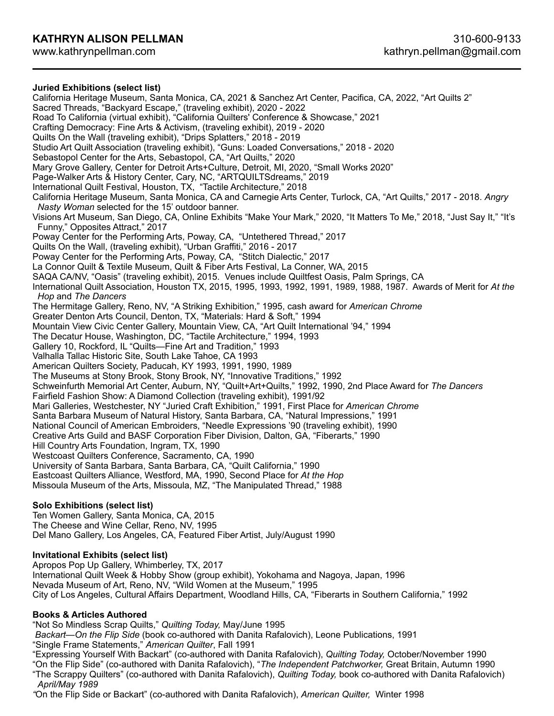# **Juried Exhibitions (select list)**

California Heritage Museum, Santa Monica, CA, 2021 & Sanchez Art Center, Pacifica, CA, 2022, "Art Quilts 2" Sacred Threads, "Backyard Escape," (traveling exhibit), 2020 - 2022 Road To California (virtual exhibit), "California Quilters' Conference & Showcase," 2021 Crafting Democracy: Fine Arts & Activism, (traveling exhibit), 2019 - 2020 Quilts On the Wall (traveling exhibit), "Drips Splatters," 2018 - 2019 Studio Art Quilt Association (traveling exhibit), "Guns: Loaded Conversations," 2018 - 2020 Sebastopol Center for the Arts, Sebastopol, CA, "Art Quilts," 2020 Mary Grove Gallery, Center for Detroit Arts+Culture, Detroit, MI, 2020, "Small Works 2020" Page-Walker Arts & History Center, Cary, NC, "ARTQUILTSdreams," 2019 International Quilt Festival, Houston, TX, "Tactile Architecture," 2018 California Heritage Museum, Santa Monica, CA and Carnegie Arts Center, Turlock, CA, "Art Quilts," 2017 - 2018. *Angry Nasty Woman* selected for the 15' outdoor banner. Visions Art Museum, San Diego, CA, Online Exhibits "Make Your Mark," 2020, "It Matters To Me," 2018, "Just Say It," "It's Funny," Opposites Attract," 2017 Poway Center for the Performing Arts, Poway, CA, "Untethered Thread," 2017 Quilts On the Wall, (traveling exhibit), "Urban Graffiti," 2016 - 2017 Poway Center for the Performing Arts, Poway, CA, "Stitch Dialectic," 2017 La Connor Quilt & Textile Museum, Quilt & Fiber Arts Festival, La Conner, WA, 2015 SAQA CA/NV, "Oasis" (traveling exhibit), 2015. Venues include Quiltfest Oasis, Palm Springs, CA International Quilt Association, Houston TX, 2015, 1995, 1993, 1992, 1991, 1989, 1988, 1987. Awards of Merit for *At the Hop* and *The Dancers*  The Hermitage Gallery, Reno, NV, "A Striking Exhibition," 1995, cash award for *American Chrome* Greater Denton Arts Council, Denton, TX, "Materials: Hard & Soft," 1994 Mountain View Civic Center Gallery, Mountain View, CA, "Art Quilt International '94," 1994 The Decatur House, Washington, DC, "Tactile Architecture," 1994, 1993 Gallery 10, Rockford, IL "Quilts—Fine Art and Tradition," 1993 Valhalla Tallac Historic Site, South Lake Tahoe, CA 1993 American Quilters Society, Paducah, KY 1993, 1991, 1990, 1989 The Museums at Stony Brook, Stony Brook, NY, "Innovative Traditions," 1992 Schweinfurth Memorial Art Center, Auburn, NY, "Quilt+Art+Quilts," 1992, 1990, 2nd Place Award for *The Dancers* Fairfield Fashion Show: A Diamond Collection (traveling exhibit), 1991/92 Mari Galleries, Westchester, NY "Juried Craft Exhibition," 1991, First Place for *American Chrome*  Santa Barbara Museum of Natural History, Santa Barbara, CA, "Natural Impressions," 1991 National Council of American Embroiders, "Needle Expressions '90 (traveling exhibit), 1990 Creative Arts Guild and BASF Corporation Fiber Division, Dalton, GA, "Fiberarts," 1990 Hill Country Arts Foundation, Ingram, TX, 1990 Westcoast Quilters Conference, Sacramento, CA, 1990 University of Santa Barbara, Santa Barbara, CA, "Quilt California," 1990 Eastcoast Quilters Alliance, Westford, MA, 1990, Second Place for *At the Hop*  Missoula Museum of the Arts, Missoula, MZ, "The Manipulated Thread," 1988 **Solo Exhibitions (select list)**  Ten Women Gallery, Santa Monica, CA, 2015 The Cheese and Wine Cellar, Reno, NV, 1995

Del Mano Gallery, Los Angeles, CA, Featured Fiber Artist, July/August 1990

## **Invitational Exhibits (select list)**

Apropos Pop Up Gallery, Whimberley, TX, 2017 International Quilt Week & Hobby Show (group exhibit), Yokohama and Nagoya, Japan, 1996 Nevada Museum of Art, Reno, NV, "Wild Women at the Museum," 1995 City of Los Angeles, Cultural Affairs Department, Woodland Hills, CA, "Fiberarts in Southern California," 1992

## **Books & Articles Authored**

"Not So Mindless Scrap Quilts," *Quilting Today,* May/June 1995

 *Backart—On the Flip Side* (book co-authored with Danita Rafalovich), Leone Publications, 1991

"Single Frame Statements," *American Quilter*, Fall 1991

"Expressing Yourself With Backart" (co-authored with Danita Rafalovich), *Quilting Today,* October/November 1990

"On the Flip Side" (co-authored with Danita Rafalovich), "*The Independent Patchworker,* Great Britain, Autumn 1990

"The Scrappy Quilters" (co-authored with Danita Rafalovich), *Quilting Today,* book co-authored with Danita Rafalovich) *April/May 1989* 

*"*On the Flip Side or Backart" (co-authored with Danita Rafalovich), *American Quilter,* Winter 1998